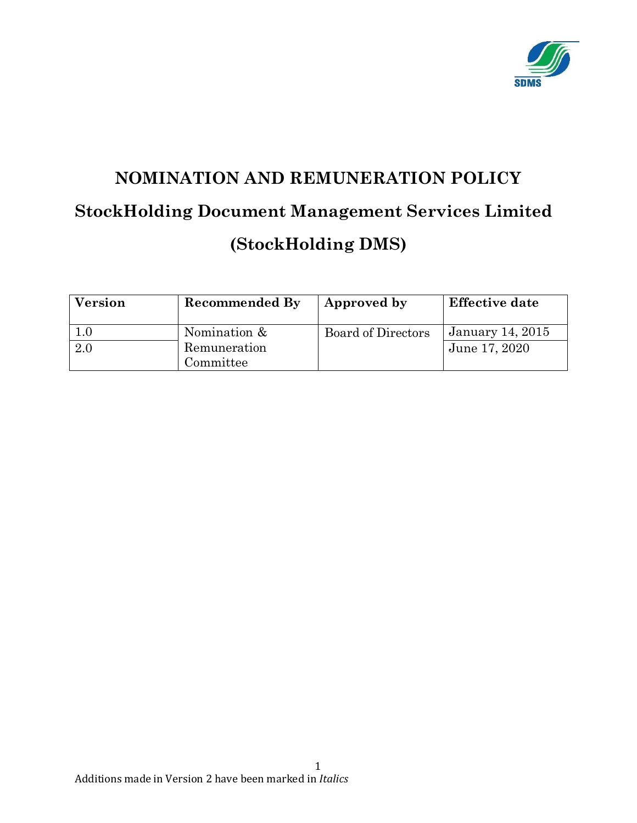

# **NOMINATION AND REMUNERATION POLICY StockHolding Document Management Services Limited (StockHolding DMS)**

| <b>Version</b> | <b>Recommended By</b>     | Approved by               | <b>Effective date</b>   |
|----------------|---------------------------|---------------------------|-------------------------|
|                | Nomination &              | <b>Board of Directors</b> | <b>January 14, 2015</b> |
| 2.0            | Remuneration<br>Committee |                           | June 17, 2020           |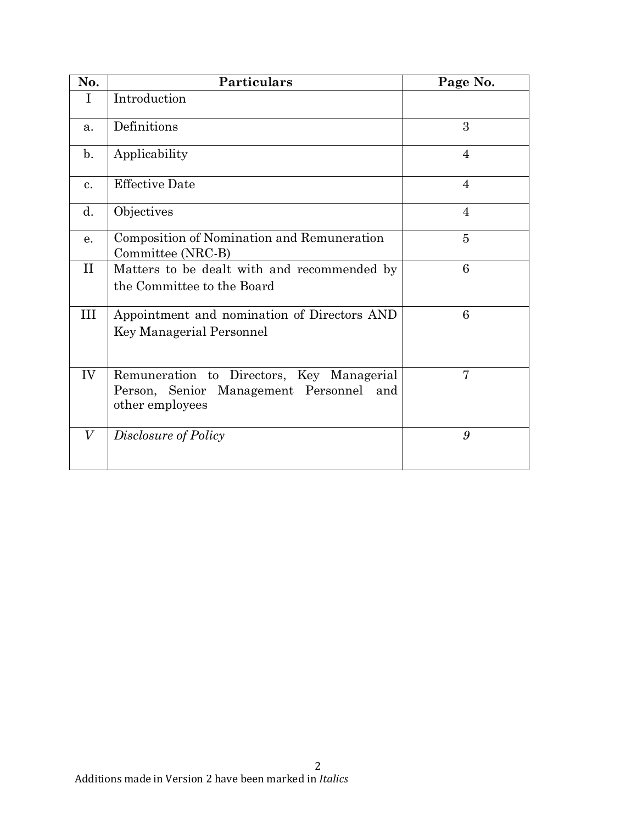| No.            | <b>Particulars</b>                                                                                            | Page No.       |
|----------------|---------------------------------------------------------------------------------------------------------------|----------------|
| I              | Introduction                                                                                                  |                |
| a.             | Definitions                                                                                                   | 3              |
| $\mathbf{b}$ . | Applicability                                                                                                 | 4              |
| $\mathbf{c}$ . | <b>Effective Date</b>                                                                                         | $\overline{4}$ |
| d.             | Objectives                                                                                                    | $\overline{4}$ |
| e.             | Composition of Nomination and Remuneration<br>Committee (NRC-B)                                               | $\overline{5}$ |
| $\prod$        | Matters to be dealt with and recommended by<br>the Committee to the Board                                     | 6              |
| III            | Appointment and nomination of Directors AND<br>Key Managerial Personnel                                       | 6              |
| IV             | Remuneration to Directors, Key Managerial<br>Management Personnel<br>Person, Senior<br>and<br>other employees | 7              |
| V              | Disclosure of Policy                                                                                          | 9              |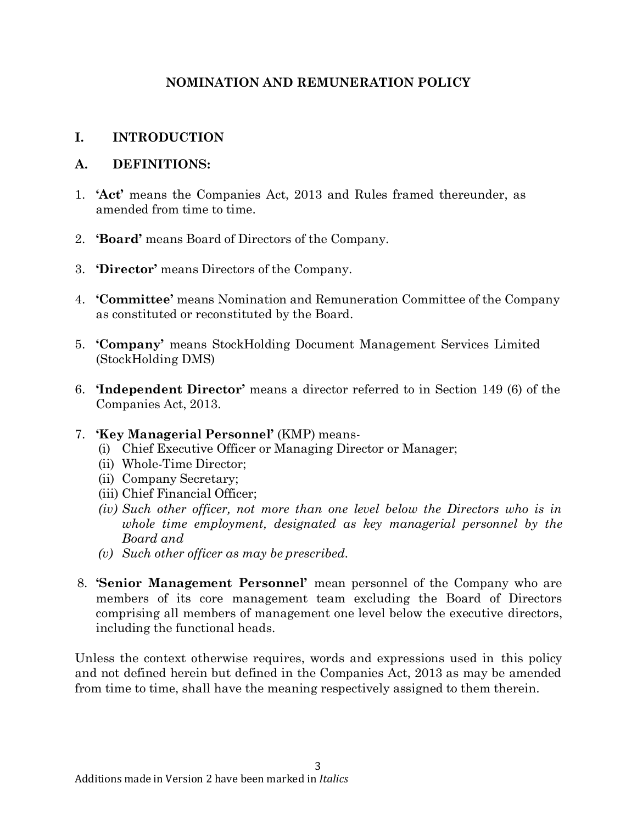# **NOMINATION AND REMUNERATION POLICY**

## **I. INTRODUCTION**

#### **A. DEFINITIONS:**

- 1. **'Act'** means the Companies Act, 2013 and Rules framed thereunder, as amended from time to time.
- 2. **'Board'** means Board of Directors of the Company.
- 3. **'Director'** means Directors of the Company.
- 4. **'Committee'** means Nomination and Remuneration Committee of the Company as constituted or reconstituted by the Board.
- 5. **'Company'** means StockHolding Document Management Services Limited (StockHolding DMS)
- 6. **'Independent Director'** means a director referred to in Section 149 (6) of the Companies Act, 2013.
- 7. **'Key Managerial Personnel'** (KMP) means-
	- (i) Chief Executive Officer or Managing Director or Manager;
	- (ii) Whole-Time Director;
	- (ii) Company Secretary;
	- (iii) Chief Financial Officer;
	- *(iv) Such other officer, not more than one level below the Directors who is in whole time employment, designated as key managerial personnel by the Board and*
	- *(v) Such other officer as may be prescribed.*
- 8. **'Senior Management Personnel'** mean personnel of the Company who are members of its core management team excluding the Board of Directors comprising all members of management one level below the executive directors, including the functional heads.

Unless the context otherwise requires, words and expressions used in this policy and not defined herein but defined in the Companies Act, 2013 as may be amended from time to time, shall have the meaning respectively assigned to them therein.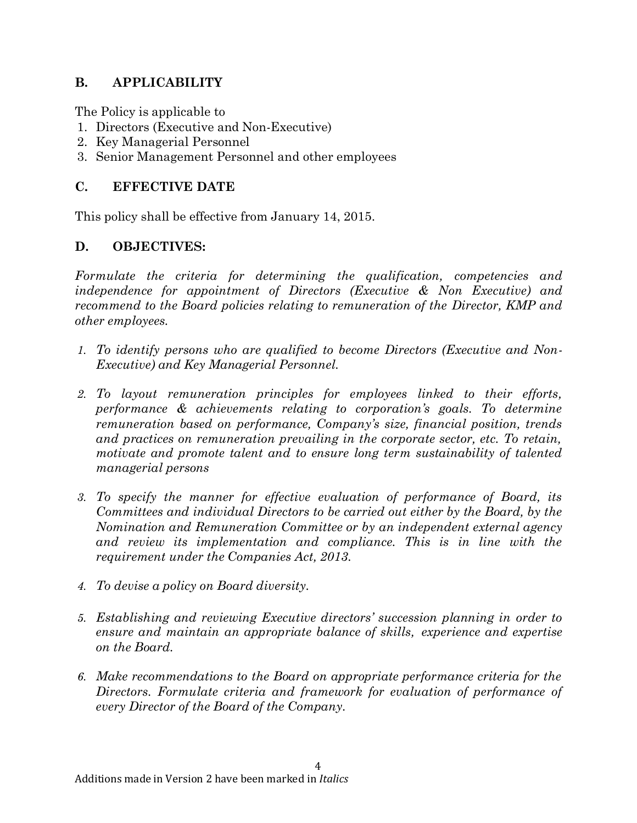# **B. APPLICABILITY**

The Policy is applicable to

- 1. Directors (Executive and Non-Executive)
- 2. Key Managerial Personnel
- 3. Senior Management Personnel and other employees

#### **C. EFFECTIVE DATE**

This policy shall be effective from January 14, 2015.

## **D. OBJECTIVES:**

*Formulate the criteria for determining the qualification, competencies and independence for appointment of Directors (Executive & Non Executive) and recommend to the Board policies relating to remuneration of the Director, KMP and other employees.*

- *1. To identify persons who are qualified to become Directors (Executive and Non-Executive) and Key Managerial Personnel.*
- *2. To layout remuneration principles for employees linked to their efforts, performance & achievements relating to corporation's goals. To determine remuneration based on performance, Company's size, financial position, trends and practices on remuneration prevailing in the corporate sector, etc. To retain, motivate and promote talent and to ensure long term sustainability of talented managerial persons*
- *3. To specify the manner for effective evaluation of performance of Board, its Committees and individual Directors to be carried out either by the Board, by the Nomination and Remuneration Committee or by an independent external agency and review its implementation and compliance. This is in line with the requirement under the Companies Act, 2013.*
- *4. To devise a policy on Board diversity.*
- *5. Establishing and reviewing Executive directors' succession planning in order to ensure and maintain an appropriate balance of skills, experience and expertise on the Board.*
- *6. Make recommendations to the Board on appropriate performance criteria for the Directors. Formulate criteria and framework for evaluation of performance of every Director of the Board of the Company.*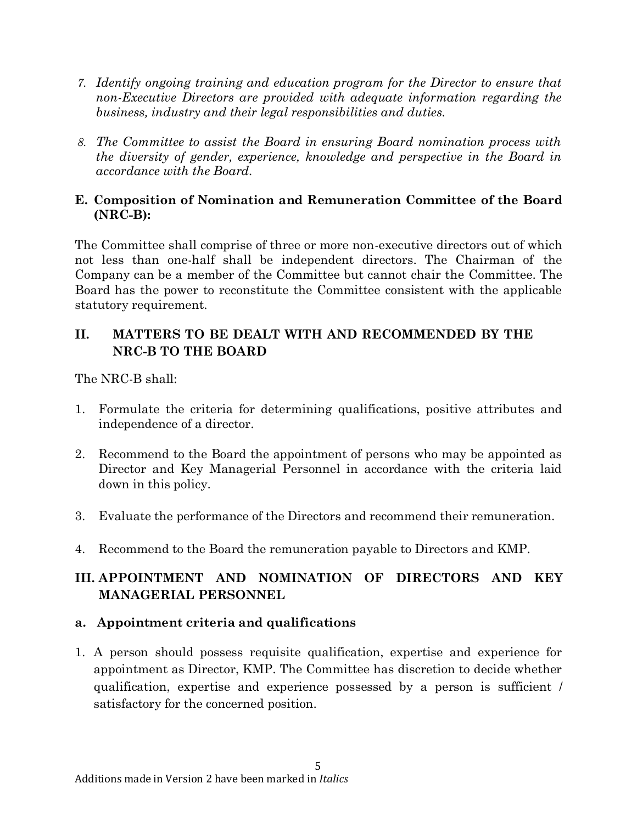- *7. Identify ongoing training and education program for the Director to ensure that non-Executive Directors are provided with adequate information regarding the business, industry and their legal responsibilities and duties.*
- *8. The Committee to assist the Board in ensuring Board nomination process with the diversity of gender, experience, knowledge and perspective in the Board in accordance with the Board.*

#### **E. Composition of Nomination and Remuneration Committee of the Board (NRC-B):**

The Committee shall comprise of three or more non-executive directors out of which not less than one-half shall be independent directors. The Chairman of the Company can be a member of the Committee but cannot chair the Committee. The Board has the power to reconstitute the Committee consistent with the applicable statutory requirement.

# **II. MATTERS TO BE DEALT WITH AND RECOMMENDED BY THE NRC-B TO THE BOARD**

The NRC-B shall:

- 1. Formulate the criteria for determining qualifications, positive attributes and independence of a director.
- 2. Recommend to the Board the appointment of persons who may be appointed as Director and Key Managerial Personnel in accordance with the criteria laid down in this policy.
- 3. Evaluate the performance of the Directors and recommend their remuneration.
- 4. Recommend to the Board the remuneration payable to Directors and KMP.

# **III. APPOINTMENT AND NOMINATION OF DIRECTORS AND KEY MANAGERIAL PERSONNEL**

## **a. Appointment criteria and qualifications**

1. A person should possess requisite qualification, expertise and experience for appointment as Director, KMP. The Committee has discretion to decide whether qualification, expertise and experience possessed by a person is sufficient / satisfactory for the concerned position.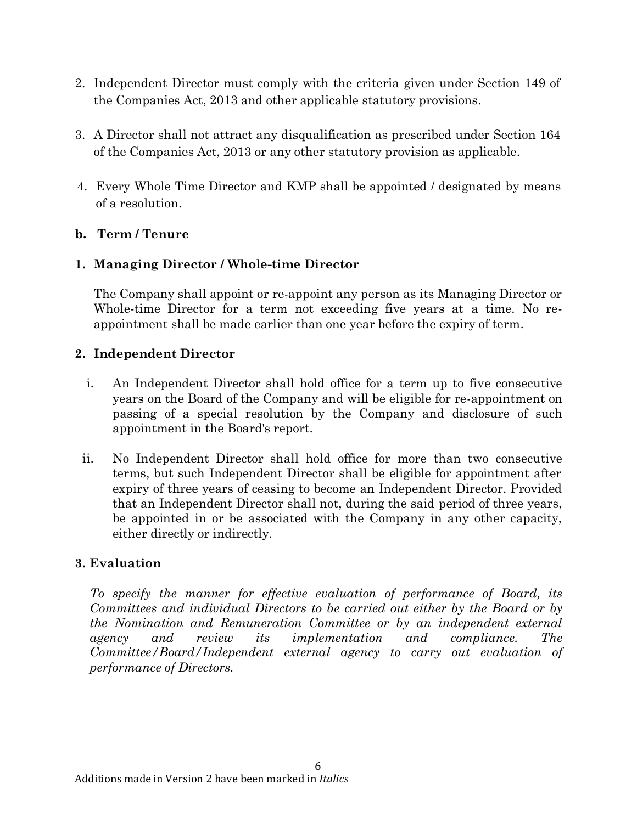- 2. Independent Director must comply with the criteria given under Section 149 of the Companies Act, 2013 and other applicable statutory provisions.
- 3. A Director shall not attract any disqualification as prescribed under Section 164 of the Companies Act, 2013 or any other statutory provision as applicable.
- 4. Every Whole Time Director and KMP shall be appointed / designated by means of a resolution.

## **b. Term / Tenure**

## **1. Managing Director / Whole-time Director**

The Company shall appoint or re-appoint any person as its Managing Director or Whole-time Director for a term not exceeding five years at a time. No reappointment shall be made earlier than one year before the expiry of term.

#### **2. Independent Director**

- i. An Independent Director shall hold office for a term up to five consecutive years on the Board of the Company and will be eligible for re-appointment on passing of a special resolution by the Company and disclosure of such appointment in the Board's report.
- ii. No Independent Director shall hold office for more than two consecutive terms, but such Independent Director shall be eligible for appointment after expiry of three years of ceasing to become an Independent Director. Provided that an Independent Director shall not, during the said period of three years, be appointed in or be associated with the Company in any other capacity, either directly or indirectly.

#### **3. Evaluation**

*To specify the manner for effective evaluation of performance of Board, its Committees and individual Directors to be carried out either by the Board or by the Nomination and Remuneration Committee or by an independent external agency and review its implementation and compliance. The Committee/Board/Independent external agency to carry out evaluation of performance of Directors.*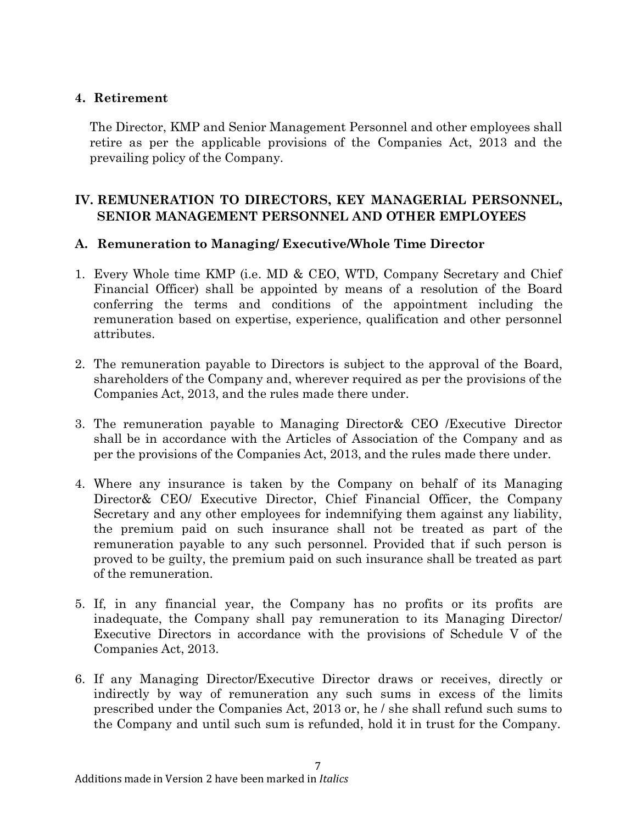#### **4. Retirement**

The Director, KMP and Senior Management Personnel and other employees shall retire as per the applicable provisions of the Companies Act, 2013 and the prevailing policy of the Company.

# **IV. REMUNERATION TO DIRECTORS, KEY MANAGERIAL PERSONNEL, SENIOR MANAGEMENT PERSONNEL AND OTHER EMPLOYEES**

#### **A. Remuneration to Managing/ Executive/Whole Time Director**

- 1. Every Whole time KMP (i.e. MD & CEO, WTD, Company Secretary and Chief Financial Officer) shall be appointed by means of a resolution of the Board conferring the terms and conditions of the appointment including the remuneration based on expertise, experience, qualification and other personnel attributes.
- 2. The remuneration payable to Directors is subject to the approval of the Board, shareholders of the Company and, wherever required as per the provisions of the Companies Act, 2013, and the rules made there under.
- 3. The remuneration payable to Managing Director& CEO /Executive Director shall be in accordance with the Articles of Association of the Company and as per the provisions of the Companies Act, 2013, and the rules made there under.
- 4. Where any insurance is taken by the Company on behalf of its Managing Director& CEO/ Executive Director, Chief Financial Officer, the Company Secretary and any other employees for indemnifying them against any liability, the premium paid on such insurance shall not be treated as part of the remuneration payable to any such personnel. Provided that if such person is proved to be guilty, the premium paid on such insurance shall be treated as part of the remuneration.
- 5. If, in any financial year, the Company has no profits or its profits are inadequate, the Company shall pay remuneration to its Managing Director/ Executive Directors in accordance with the provisions of Schedule V of the Companies Act, 2013.
- 6. If any Managing Director/Executive Director draws or receives, directly or indirectly by way of remuneration any such sums in excess of the limits prescribed under the Companies Act, 2013 or, he / she shall refund such sums to the Company and until such sum is refunded, hold it in trust for the Company.